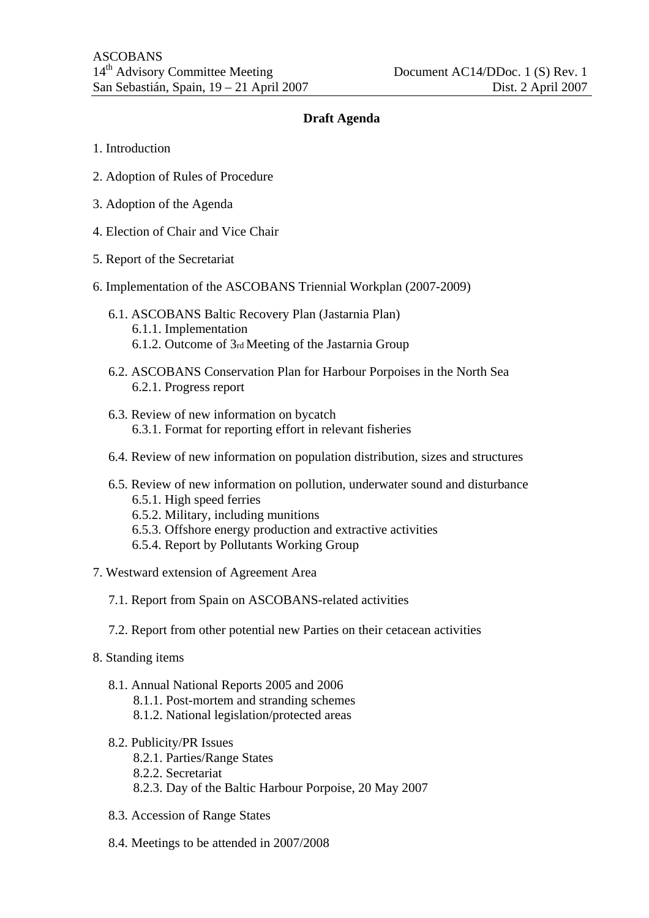## **Draft Agenda**

- 1. Introduction
- 2. Adoption of Rules of Procedure
- 3. Adoption of the Agenda
- 4. Election of Chair and Vice Chair
- 5. Report of the Secretariat
- 6. Implementation of the ASCOBANS Triennial Workplan (2007-2009)
	- 6.1. ASCOBANS Baltic Recovery Plan (Jastarnia Plan) 6.1.1. Implementation 6.1.2. Outcome of 3rd Meeting of the Jastarnia Group
	- 6.2. ASCOBANS Conservation Plan for Harbour Porpoises in the North Sea 6.2.1. Progress report
	- 6.3. Review of new information on bycatch 6.3.1. Format for reporting effort in relevant fisheries
	- 6.4. Review of new information on population distribution, sizes and structures
	- 6.5. Review of new information on pollution, underwater sound and disturbance 6.5.1. High speed ferries
		- 6.5.2. Military, including munitions
		- 6.5.3. Offshore energy production and extractive activities
		- 6.5.4. Report by Pollutants Working Group
- 7. Westward extension of Agreement Area
	- 7.1. Report from Spain on ASCOBANS-related activities
	- 7.2. Report from other potential new Parties on their cetacean activities
- 8. Standing items
	- 8.1. Annual National Reports 2005 and 2006
		- 8.1.1. Post-mortem and stranding schemes
		- 8.1.2. National legislation/protected areas
	- 8.2. Publicity/PR Issues
		- 8.2.1. Parties/Range States
		- 8.2.2. Secretariat
		- 8.2.3. Day of the Baltic Harbour Porpoise, 20 May 2007
	- 8.3. Accession of Range States
	- 8.4. Meetings to be attended in 2007/2008